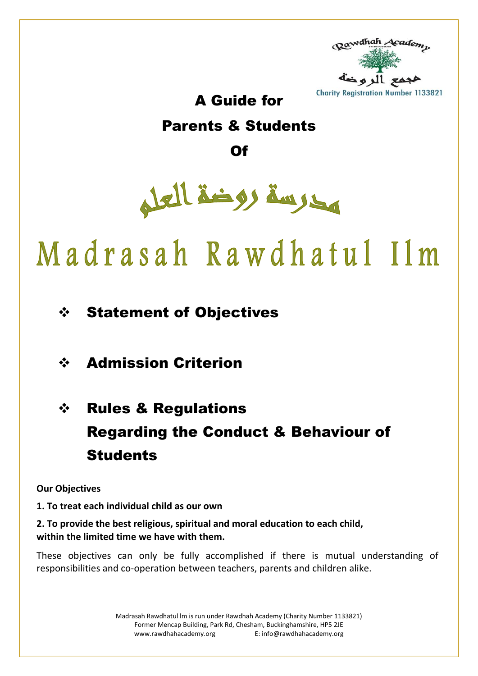

### A Guide for

## Parents & Students

Of



# Madrasah Rawdhatul Ilm

## Statement of Objectives

## Admission Criterion

## ❖ Rules & Regulations Regarding the Conduct & Behaviour of **Students**

#### **Our Objectives**

#### **1. To treat each individual child as our own**

#### **2. To provide the best religious, spiritual and moral education to each child, within the limited time we have with them.**

These objectives can only be fully accomplished if there is mutual understanding of responsibilities and co-operation between teachers, parents and children alike.

> Madrasah Rawdhatul lm is run under Rawdhah Academy (Charity Number 1133821) Former Mencap Building, Park Rd, Chesham, Buckinghamshire, HP5 2JE [www.rawdhahacademy.org](http://www.rawdhahacademy.org/) E: info@rawdhahacademy.org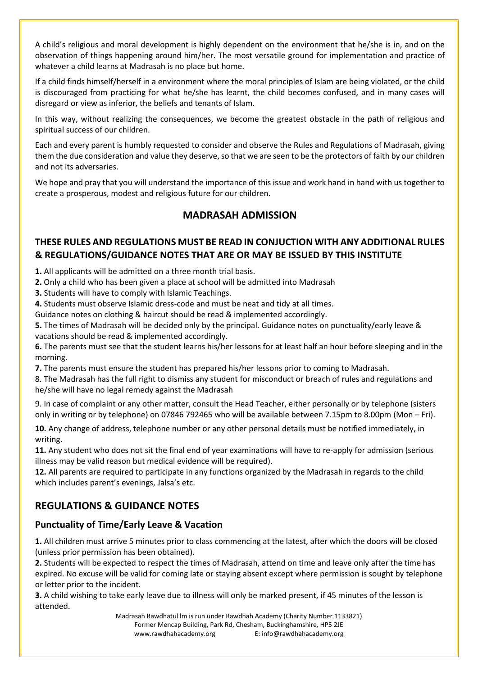A child's religious and moral development is highly dependent on the environment that he/she is in, and on the observation of things happening around him/her. The most versatile ground for implementation and practice of whatever a child learns at Madrasah is no place but home.

If a child finds himself/herself in a environment where the moral principles of Islam are being violated, or the child is discouraged from practicing for what he/she has learnt, the child becomes confused, and in many cases will disregard or view as inferior, the beliefs and tenants of Islam.

In this way, without realizing the consequences, we become the greatest obstacle in the path of religious and spiritual success of our children.

Each and every parent is humbly requested to consider and observe the Rules and Regulations of Madrasah, giving them the due consideration and value they deserve, so that we are seen to be the protectors of faith by our children and not its adversaries.

We hope and pray that you will understand the importance of this issue and work hand in hand with us together to create a prosperous, modest and religious future for our children.

#### **MADRASAH ADMISSION**

#### **THESE RULES AND REGULATIONS MUST BE READ IN CONJUCTION WITH ANY ADDITIONAL RULES & REGULATIONS/GUIDANCE NOTES THAT ARE OR MAY BE ISSUED BY THIS INSTITUTE**

**1.** All applicants will be admitted on a three month trial basis.

**2.** Only a child who has been given a place at school will be admitted into Madrasah

**3.** Students will have to comply with Islamic Teachings.

**4.** Students must observe Islamic dress-code and must be neat and tidy at all times.

Guidance notes on clothing & haircut should be read & implemented accordingly.

**5.** The times of Madrasah will be decided only by the principal. Guidance notes on punctuality/early leave & vacations should be read & implemented accordingly.

**6.** The parents must see that the student learns his/her lessons for at least half an hour before sleeping and in the morning.

**7.** The parents must ensure the student has prepared his/her lessons prior to coming to Madrasah.

8. The Madrasah has the full right to dismiss any student for misconduct or breach of rules and regulations and he/she will have no legal remedy against the Madrasah

9. In case of complaint or any other matter, consult the Head Teacher, either personally or by telephone (sisters only in writing or by telephone) on 07846 792465 who will be available between 7.15pm to 8.00pm (Mon – Fri).

**10.** Any change of address, telephone number or any other personal details must be notified immediately, in writing.

**11.** Any student who does not sit the final end of year examinations will have to re-apply for admission (serious illness may be valid reason but medical evidence will be required).

**12.** All parents are required to participate in any functions organized by the Madrasah in regards to the child which includes parent's evenings, Jalsa's etc.

#### **REGULATIONS & GUIDANCE NOTES**

#### **Punctuality of Time/Early Leave & Vacation**

**1.** All children must arrive 5 minutes prior to class commencing at the latest, after which the doors will be closed (unless prior permission has been obtained).

**2.** Students will be expected to respect the times of Madrasah, attend on time and leave only after the time has expired. No excuse will be valid for coming late or staying absent except where permission is sought by telephone or letter prior to the incident.

**3.** A child wishing to take early leave due to illness will only be marked present, if 45 minutes of the lesson is attended.

> Madrasah Rawdhatul lm is run under Rawdhah Academy (Charity Number 1133821) Former Mencap Building, Park Rd, Chesham, Buckinghamshire, HP5 2JE [www.rawdhahacademy.org](http://www.rawdhahacademy.org/) E: info@rawdhahacademy.org